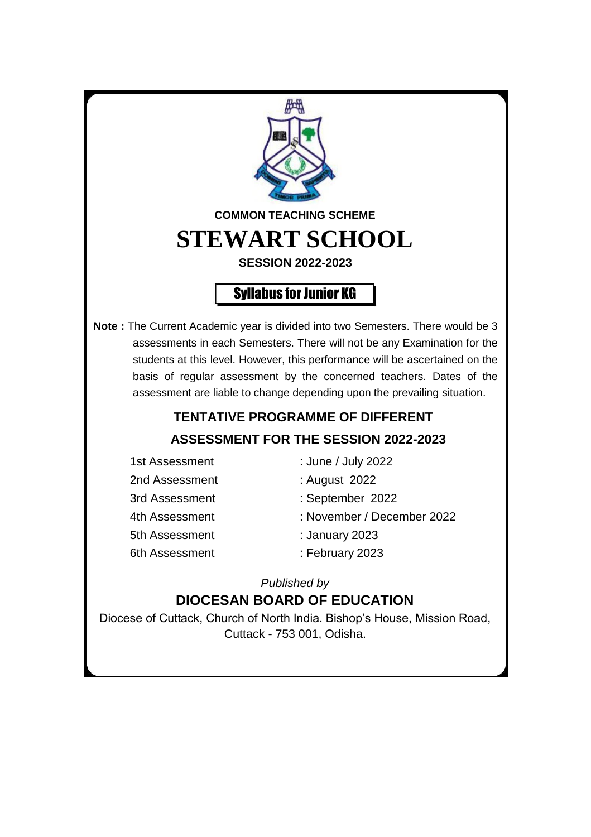

## **ASSESSMENT FOR THE SESSION 2022-2023**

- 2nd Assessment : August 2022 5th Assessment : January 2023
- 1st Assessment : June / July 2022
	-
- 3rd Assessment : September 2022
- 4th Assessment : November / December 2022
	-
- 6th Assessment : February 2023

*Published by*

## **DIOCESAN BOARD OF EDUCATION**

Diocese of Cuttack, Church of North India. Bishop's House, Mission Road, Cuttack - 753 001, Odisha.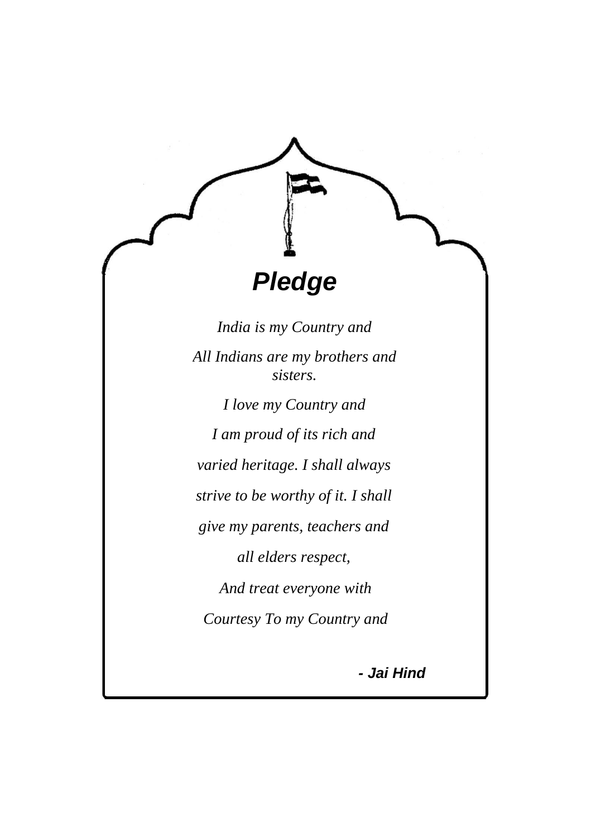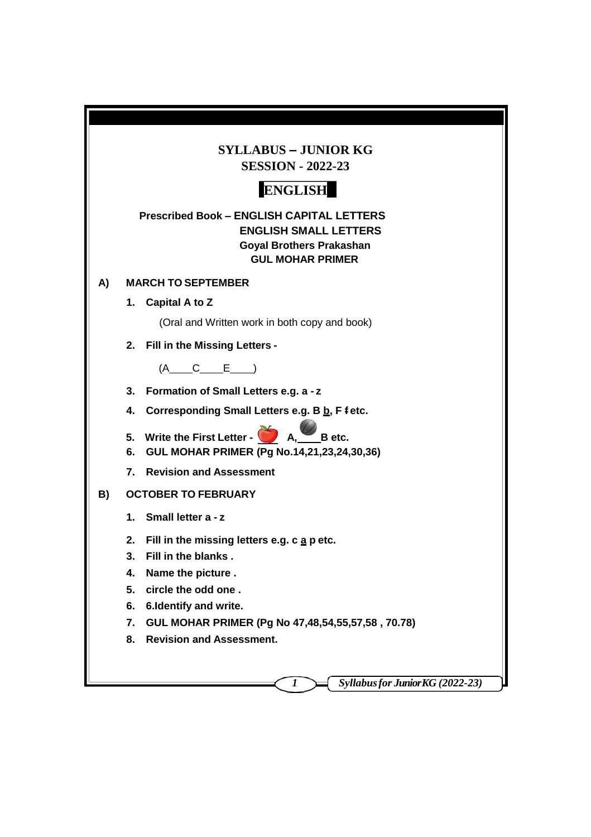| <b>SYLLABUS - JUNIOR KG</b><br><b>SESSION - 2022-23</b>                                                                                        |  |  |  |  |
|------------------------------------------------------------------------------------------------------------------------------------------------|--|--|--|--|
| <b>ENGLISH</b>                                                                                                                                 |  |  |  |  |
| <b>Prescribed Book - ENGLISH CAPITAL LETTERS</b><br><b>ENGLISH SMALL LETTERS</b><br><b>Goyal Brothers Prakashan</b><br><b>GUL MOHAR PRIMER</b> |  |  |  |  |
| <b>MARCH TO SEPTEMBER</b><br>A)                                                                                                                |  |  |  |  |
| Capital A to Z<br>1.                                                                                                                           |  |  |  |  |
| (Oral and Written work in both copy and book)                                                                                                  |  |  |  |  |
| 2. Fill in the Missing Letters -                                                                                                               |  |  |  |  |
| $(A \t C \t E)$                                                                                                                                |  |  |  |  |
| 3. Formation of Small Letters e.g. a - z                                                                                                       |  |  |  |  |
| Corresponding Small Letters e.g. B b, F f etc.<br>4.                                                                                           |  |  |  |  |
| 5. Write the First Letter - $\sum A_i$<br>B etc.<br>6. GUL MOHAR PRIMER (Pg No.14,21,23,24,30,36)                                              |  |  |  |  |
| 7. Revision and Assessment                                                                                                                     |  |  |  |  |
| B)<br><b>OCTOBER TO FEBRUARY</b>                                                                                                               |  |  |  |  |
| 1. Small letter a - z                                                                                                                          |  |  |  |  |
| Fill in the missing letters e.g. c a p etc.<br>2.                                                                                              |  |  |  |  |
| 3.<br>Fill in the blanks.                                                                                                                      |  |  |  |  |
| Name the picture.<br>4.                                                                                                                        |  |  |  |  |
| circle the odd one.<br>5.                                                                                                                      |  |  |  |  |
| 6. Identify and write.<br>6.                                                                                                                   |  |  |  |  |
| GUL MOHAR PRIMER (Pg No 47,48,54,55,57,58, 70.78)<br>7.                                                                                        |  |  |  |  |
| <b>Revision and Assessment.</b><br>8.                                                                                                          |  |  |  |  |
|                                                                                                                                                |  |  |  |  |
| Syllabus for Junior KG (2022-23)<br>1                                                                                                          |  |  |  |  |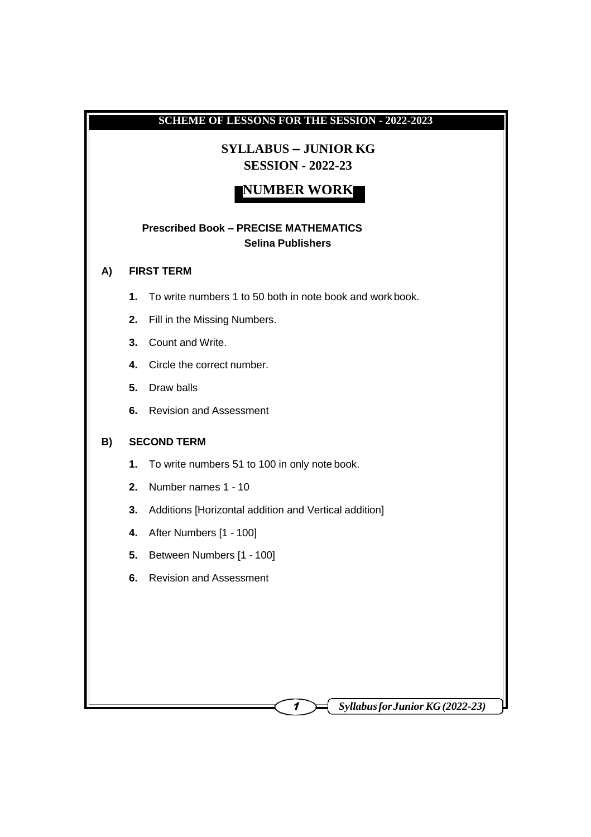# **SCHEME OF LESSONS FOR THE SESSION - 2022-2023 SYLLABUS – JUNIOR KG SESSION - 2022-23 NUMBER WORK Prescribed Book – PRECISE MATHEMATICS Selina Publishers A) FIRST TERM 1.** To write numbers 1 to 50 both in note book and work book. **2.** Fill in the Missing Numbers. **3.** Count and Write. **4.** Circle the correct number. **5.** Draw balls **6.** Revision and Assessment **B) SECOND TERM 1.** To write numbers 51 to 100 in only note book. **2.** Number names 1 - 10 **3.** Additions [Horizontal addition and Vertical addition] **4.** After Numbers [1 - 100] **5.** Between Numbers [1 - 100] **6.** Revision and Assessment

<sup>1</sup> *SyllabusforJunior KG(2022-23)*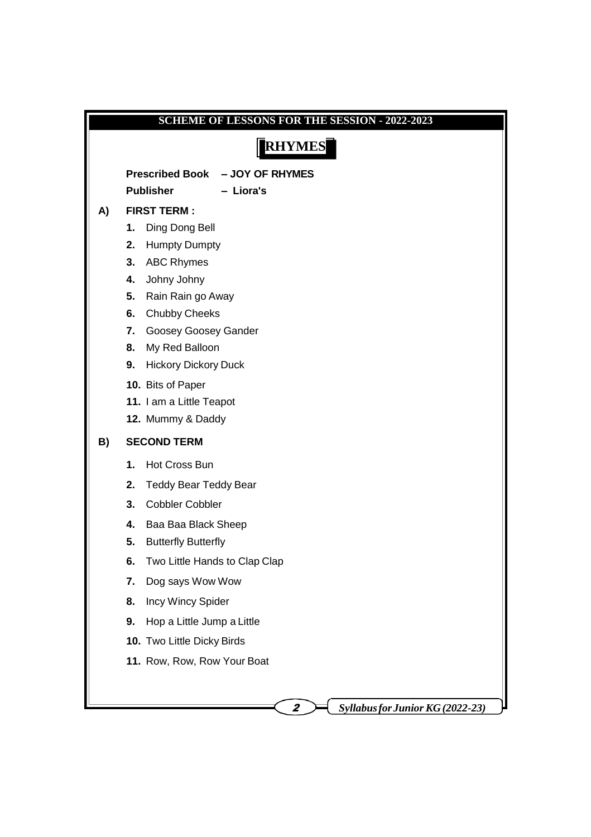|               | <b>SCHEME OF LESSONS FOR THE SESSION - 2022-2023</b>                       |  |  |  |  |
|---------------|----------------------------------------------------------------------------|--|--|--|--|
| <b>RHYMES</b> |                                                                            |  |  |  |  |
|               |                                                                            |  |  |  |  |
|               | <b>Prescribed Book</b><br>- JOY OF RHYMES<br><b>Publisher</b><br>- Liora's |  |  |  |  |
| A)            | <b>FIRST TERM:</b>                                                         |  |  |  |  |
|               | Ding Dong Bell<br>1.                                                       |  |  |  |  |
|               | <b>Humpty Dumpty</b><br>2.                                                 |  |  |  |  |
|               | <b>ABC Rhymes</b><br>3.                                                    |  |  |  |  |
|               | Johny Johny<br>4.                                                          |  |  |  |  |
|               | Rain Rain go Away<br>5.                                                    |  |  |  |  |
|               | <b>Chubby Cheeks</b><br>6.                                                 |  |  |  |  |
|               | Goosey Goosey Gander<br>7.                                                 |  |  |  |  |
|               | My Red Balloon<br>8.                                                       |  |  |  |  |
|               | <b>Hickory Dickory Duck</b><br>9.                                          |  |  |  |  |
|               | 10. Bits of Paper                                                          |  |  |  |  |
|               | 11. I am a Little Teapot<br>12. Mummy & Daddy                              |  |  |  |  |
|               |                                                                            |  |  |  |  |
| B)            | <b>SECOND TERM</b>                                                         |  |  |  |  |
|               | Hot Cross Bun<br>1.                                                        |  |  |  |  |
|               | 2.<br><b>Teddy Bear Teddy Bear</b>                                         |  |  |  |  |
|               | 3.<br><b>Cobbler Cobbler</b>                                               |  |  |  |  |
|               | 4.<br>Baa Baa Black Sheep                                                  |  |  |  |  |
|               | 5.<br><b>Butterfly Butterfly</b>                                           |  |  |  |  |
|               | Two Little Hands to Clap Clap<br>6.                                        |  |  |  |  |
|               | Dog says Wow Wow<br>7.                                                     |  |  |  |  |
|               | Incy Wincy Spider<br>8.                                                    |  |  |  |  |
|               | Hop a Little Jump a Little<br>9.                                           |  |  |  |  |
|               | 10. Two Little Dicky Birds                                                 |  |  |  |  |
|               | 11. Row, Row, Row Your Boat                                                |  |  |  |  |
|               |                                                                            |  |  |  |  |
|               |                                                                            |  |  |  |  |
|               | <b>Syllabus for Junior KG (2022-23)</b>                                    |  |  |  |  |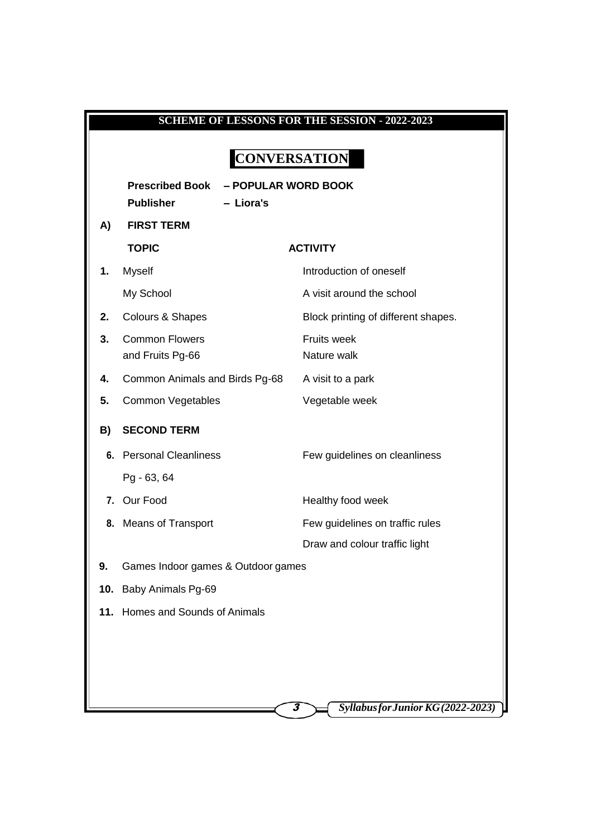| <b>SCHEME OF LESSONS FOR THE SESSION - 2022-2023</b> |                                                                                |                                         |  |  |
|------------------------------------------------------|--------------------------------------------------------------------------------|-----------------------------------------|--|--|
|                                                      |                                                                                |                                         |  |  |
| <b>CONVERSATION</b>                                  |                                                                                |                                         |  |  |
|                                                      | <b>Prescribed Book</b><br>- POPULAR WORD BOOK<br><b>Publisher</b><br>- Liora's |                                         |  |  |
| A)                                                   | <b>FIRST TERM</b>                                                              |                                         |  |  |
|                                                      | <b>TOPIC</b>                                                                   | <b>ACTIVITY</b>                         |  |  |
| 1.                                                   | <b>Myself</b>                                                                  | Introduction of oneself                 |  |  |
|                                                      | My School                                                                      | A visit around the school               |  |  |
| 2.                                                   | Colours & Shapes                                                               | Block printing of different shapes.     |  |  |
| 3.                                                   | <b>Common Flowers</b>                                                          | <b>Fruits week</b>                      |  |  |
|                                                      | and Fruits Pg-66                                                               | Nature walk                             |  |  |
| 4.                                                   | Common Animals and Birds Pg-68                                                 | A visit to a park                       |  |  |
| 5.                                                   | Common Vegetables                                                              | Vegetable week                          |  |  |
| B)                                                   | <b>SECOND TERM</b>                                                             |                                         |  |  |
|                                                      | 6. Personal Cleanliness                                                        | Few guidelines on cleanliness           |  |  |
|                                                      | Pg - 63, 64                                                                    |                                         |  |  |
|                                                      | 7. Our Food                                                                    | Healthy food week                       |  |  |
| 8.                                                   | <b>Means of Transport</b>                                                      | Few guidelines on traffic rules         |  |  |
|                                                      |                                                                                | Draw and colour traffic light           |  |  |
| 9.                                                   | Games Indoor games & Outdoor games                                             |                                         |  |  |
| 10.                                                  | Baby Animals Pg-69                                                             |                                         |  |  |
|                                                      | 11. Homes and Sounds of Animals                                                |                                         |  |  |
|                                                      |                                                                                |                                         |  |  |
|                                                      |                                                                                |                                         |  |  |
|                                                      |                                                                                |                                         |  |  |
|                                                      |                                                                                | Syllabus for Junior KG (2022-2023)<br>3 |  |  |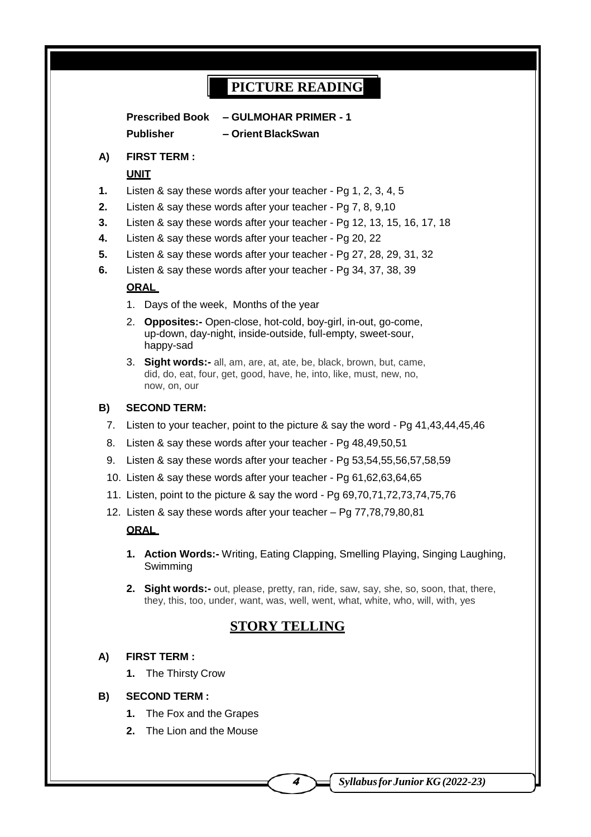## **PICTURE READING**

**Prescribed Book – GULMOHAR PRIMER - 1 Publisher – Orient BlackSwan**

#### **A) FIRST TERM :**

#### **UNIT**

- **1.** Listen & say these words after your teacher Pg 1, 2, 3, 4, 5
- **2.** Listen & say these words after your teacher Pg 7, 8, 9,10
- **3.** Listen & say these words after your teacher Pg 12, 13, 15, 16, 17, 18
- **4.** Listen & say these words after your teacher Pg 20, 22
- **5.** Listen & say these words after your teacher Pg 27, 28, 29, 31, 32
- **6.** Listen & say these words after your teacher Pg 34, 37, 38, 39

#### **ORAL**

- 1. Days of the week, Months of the year
- 2. **Opposites:-** Open-close, hot-cold, boy-girl, in-out, go-come, up-down, day-night, inside-outside, full-empty, sweet-sour, happy-sad
- 3. **Sight words:-** all, am, are, at, ate, be, black, brown, but, came, did, do, eat, four, get, good, have, he, into, like, must, new, no, now, on, our

#### **B) SECOND TERM:**

- 7. Listen to your teacher, point to the picture & say the word Pg 41,43,44,45,46
- 8. Listen & say these words after your teacher Pg 48,49,50,51
- 9. Listen & say these words after your teacher Pg 53,54,55,56,57,58,59
- 10. Listen & say these words after your teacher Pg 61,62,63,64,65
- 11. Listen, point to the picture & say the word Pg 69,70,71,72,73,74,75,76
- 12. Listen & say these words after your teacher Pg 77,78,79,80,81

#### **ORAL**

- **1. Action Words:-** Writing, Eating Clapping, Smelling Playing, Singing Laughing, Swimming
- **2. Sight words:-** out, please, pretty, ran, ride, saw, say, she, so, soon, that, there, they, this, too, under, want, was, well, went, what, white, who, will, with, yes

### **STORY TELLING**

#### **A) FIRST TERM :**

**1.** The Thirsty Crow

#### **B) SECOND TERM :**

- **1.** The Fox and the Grapes
- **2.** The Lion and the Mouse

<sup>4</sup> *SyllabusforJunior KG(2022-23)*